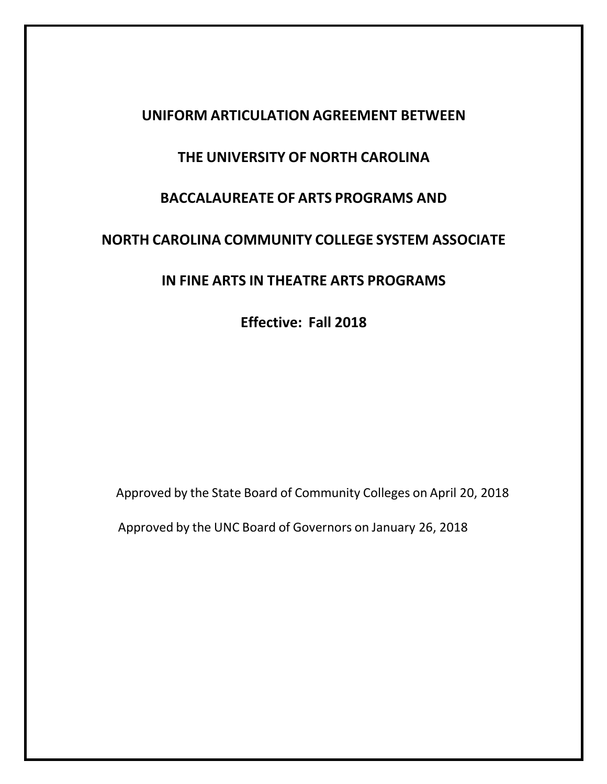# **UNIFORM ARTICULATION AGREEMENT BETWEEN**

# **THE UNIVERSITY OF NORTH CAROLINA**

# **BACCALAUREATE OF ARTS PROGRAMS AND**

# **NORTH CAROLINA COMMUNITY COLLEGE SYSTEM ASSOCIATE**

# **IN FINE ARTS IN THEATRE ARTS PROGRAMS**

**Effective: Fall 2018**

Approved by the State Board of Community Colleges on April 20, 2018

Approved by the UNC Board of Governors on January 26, 2018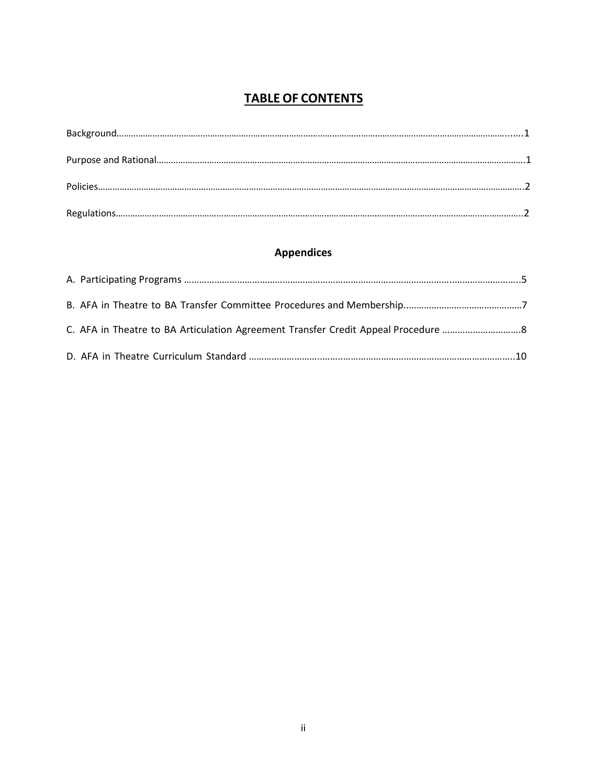## **TABLE OF CONTENTS**

## **Appendices**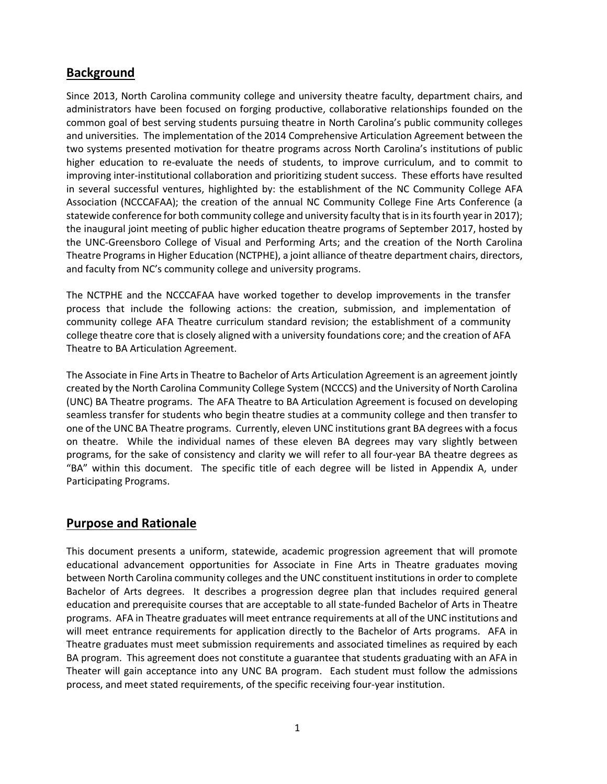## **Background**

Since 2013, North Carolina community college and university theatre faculty, department chairs, and administrators have been focused on forging productive, collaborative relationships founded on the common goal of best serving students pursuing theatre in North Carolina's public community colleges and universities. The implementation of the 2014 Comprehensive Articulation Agreement between the two systems presented motivation for theatre programs across North Carolina's institutions of public higher education to re-evaluate the needs of students, to improve curriculum, and to commit to improving inter-institutional collaboration and prioritizing student success. These efforts have resulted in several successful ventures, highlighted by: the establishment of the NC Community College AFA Association (NCCCAFAA); the creation of the annual NC Community College Fine Arts Conference (a statewide conference for both community college and university faculty that is in its fourth year in 2017); the inaugural joint meeting of public higher education theatre programs of September 2017, hosted by the UNC-Greensboro College of Visual and Performing Arts; and the creation of the North Carolina Theatre Programsin Higher Education (NCTPHE), a joint alliance of theatre department chairs, directors, and faculty from NC's community college and university programs.

The NCTPHE and the NCCCAFAA have worked together to develop improvements in the transfer process that include the following actions: the creation, submission, and implementation of community college AFA Theatre curriculum standard revision; the establishment of a community college theatre core that is closely aligned with a university foundations core; and the creation of AFA Theatre to BA Articulation Agreement.

The Associate in Fine Arts in Theatre to Bachelor of Arts Articulation Agreement is an agreement jointly created by the North Carolina Community College System (NCCCS) and the University of North Carolina (UNC) BA Theatre programs. The AFA Theatre to BA Articulation Agreement is focused on developing seamless transfer for students who begin theatre studies at a community college and then transfer to one of the UNC BA Theatre programs. Currently, eleven UNC institutions grant BA degrees with a focus on theatre. While the individual names of these eleven BA degrees may vary slightly between programs, for the sake of consistency and clarity we will refer to all four-year BA theatre degrees as "BA" within this document. The specific title of each degree will be listed in Appendix A, under Participating Programs.

### **Purpose and Rationale**

This document presents a uniform, statewide, academic progression agreement that will promote educational advancement opportunities for Associate in Fine Arts in Theatre graduates moving between North Carolina community colleges and the UNC constituent institutions in order to complete Bachelor of Arts degrees. It describes a progression degree plan that includes required general education and prerequisite courses that are acceptable to all state-funded Bachelor of Arts in Theatre programs. AFA in Theatre graduates will meet entrance requirements at all of the UNC institutions and will meet entrance requirements for application directly to the Bachelor of Arts programs. AFA in Theatre graduates must meet submission requirements and associated timelines as required by each BA program. This agreement does not constitute a guarantee that students graduating with an AFA in Theater will gain acceptance into any UNC BA program. Each student must follow the admissions process, and meet stated requirements, of the specific receiving four-year institution.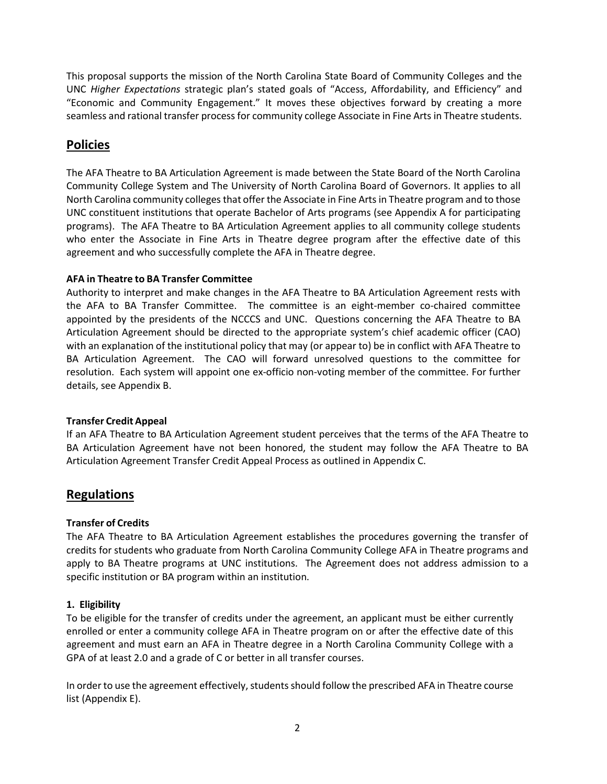This proposal supports the mission of the North Carolina State Board of Community Colleges and the UNC *Higher Expectations* strategic plan's stated goals of "Access, Affordability, and Efficiency" and "Economic and Community Engagement." It moves these objectives forward by creating a more seamless and rational transfer process for community college Associate in Fine Arts in Theatre students.

### **Policies**

The AFA Theatre to BA Articulation Agreement is made between the State Board of the North Carolina Community College System and The University of North Carolina Board of Governors. It applies to all North Carolina community colleges that offer the Associate in Fine Arts in Theatre program and to those UNC constituent institutions that operate Bachelor of Arts programs (see Appendix A for participating programs). The AFA Theatre to BA Articulation Agreement applies to all community college students who enter the Associate in Fine Arts in Theatre degree program after the effective date of this agreement and who successfully complete the AFA in Theatre degree.

### **AFA in Theatre to BA Transfer Committee**

Authority to interpret and make changes in the AFA Theatre to BA Articulation Agreement rests with the AFA to BA Transfer Committee. The committee is an eight-member co-chaired committee appointed by the presidents of the NCCCS and UNC. Questions concerning the AFA Theatre to BA Articulation Agreement should be directed to the appropriate system's chief academic officer (CAO) with an explanation of the institutional policy that may (or appear to) be in conflict with AFA Theatre to BA Articulation Agreement. The CAO will forward unresolved questions to the committee for resolution. Each system will appoint one ex-officio non-voting member of the committee. For further details, see Appendix B.

### **Transfer Credit Appeal**

If an AFA Theatre to BA Articulation Agreement student perceives that the terms of the AFA Theatre to BA Articulation Agreement have not been honored, the student may follow the AFA Theatre to BA Articulation Agreement Transfer Credit Appeal Process as outlined in Appendix C.

### **Regulations**

### **Transfer of Credits**

The AFA Theatre to BA Articulation Agreement establishes the procedures governing the transfer of credits for students who graduate from North Carolina Community College AFA in Theatre programs and apply to BA Theatre programs at UNC institutions. The Agreement does not address admission to a specific institution or BA program within an institution.

### **1. Eligibility**

To be eligible for the transfer of credits under the agreement, an applicant must be either currently enrolled or enter a community college AFA in Theatre program on or after the effective date of this agreement and must earn an AFA in Theatre degree in a North Carolina Community College with a GPA of at least 2.0 and a grade of C or better in all transfer courses.

In order to use the agreement effectively, students should follow the prescribed AFA in Theatre course list (Appendix E).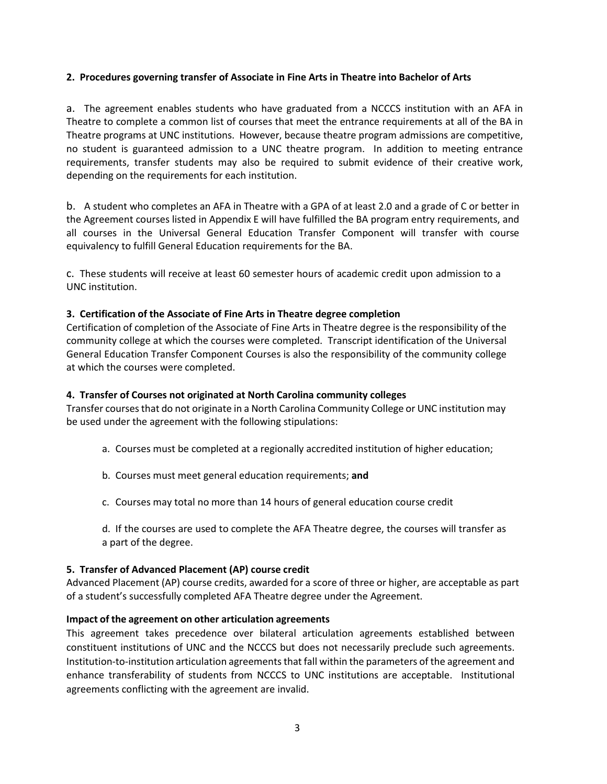#### **2. Procedures governing transfer of Associate in Fine Arts in Theatre into Bachelor of Arts**

a. The agreement enables students who have graduated from a NCCCS institution with an AFA in Theatre to complete a common list of courses that meet the entrance requirements at all of the BA in Theatre programs at UNC institutions. However, because theatre program admissions are competitive, no student is guaranteed admission to a UNC theatre program. In addition to meeting entrance requirements, transfer students may also be required to submit evidence of their creative work, depending on the requirements for each institution.

b. A student who completes an AFA in Theatre with a GPA of at least 2.0 and a grade of C or better in the Agreement courses listed in Appendix E will have fulfilled the BA program entry requirements, and all courses in the Universal General Education Transfer Component will transfer with course equivalency to fulfill General Education requirements for the BA.

c. These students will receive at least 60 semester hours of academic credit upon admission to a UNC institution.

#### **3. Certification of the Associate of Fine Arts in Theatre degree completion**

Certification of completion of the Associate of Fine Arts in Theatre degree is the responsibility of the community college at which the courses were completed. Transcript identification of the Universal General Education Transfer Component Courses is also the responsibility of the community college at which the courses were completed.

#### **4. Transfer of Courses not originated at North Carolina community colleges**

Transfer courses that do not originate in a North Carolina Community College or UNC institution may be used under the agreement with the following stipulations:

- a. Courses must be completed at a regionally accredited institution of higher education;
- b. Courses must meet general education requirements; **and**
- c. Courses may total no more than 14 hours of general education course credit

d. If the courses are used to complete the AFA Theatre degree, the courses will transfer as a part of the degree.

#### **5. Transfer of Advanced Placement (AP) course credit**

Advanced Placement (AP) course credits, awarded for a score of three or higher, are acceptable as part of a student's successfully completed AFA Theatre degree under the Agreement.

#### **Impact of the agreement on other articulation agreements**

This agreement takes precedence over bilateral articulation agreements established between constituent institutions of UNC and the NCCCS but does not necessarily preclude such agreements. Institution-to-institution articulation agreements that fall within the parameters of the agreement and enhance transferability of students from NCCCS to UNC institutions are acceptable. Institutional agreements conflicting with the agreement are invalid.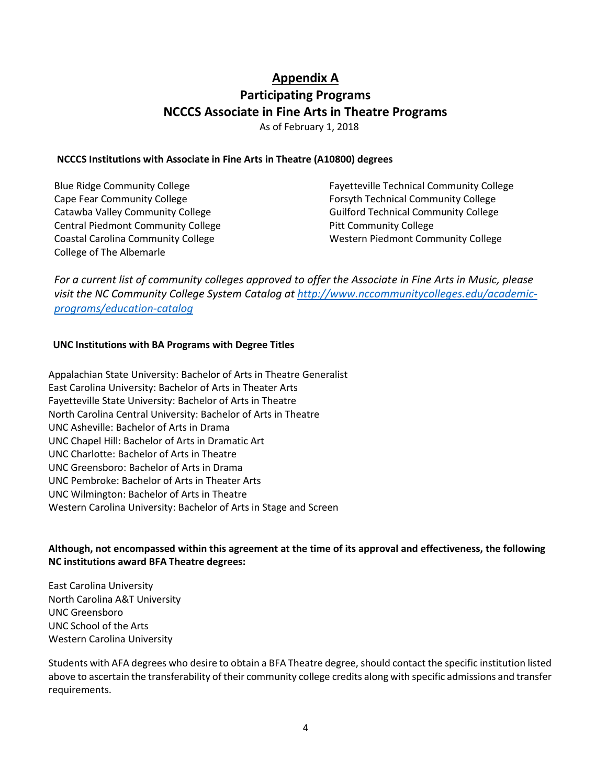## **Appendix A Participating Programs NCCCS Associate in Fine Arts in Theatre Programs** As of February 1, 2018

#### **NCCCS Institutions with Associate in Fine Arts in Theatre (A10800) degrees**

| <b>Blue Ridge Community College</b>       | <b>Fayetteville Technical Community College</b> |
|-------------------------------------------|-------------------------------------------------|
| Cape Fear Community College               | <b>Forsyth Technical Community College</b>      |
| Catawba Valley Community College          | <b>Guilford Technical Community College</b>     |
| <b>Central Piedmont Community College</b> | <b>Pitt Community College</b>                   |
| <b>Coastal Carolina Community College</b> | Western Piedmont Community College              |
| College of The Albemarle                  |                                                 |

*For a current list of community colleges approved to offer the Associate in Fine Arts in Music, please visit the NC Community College System Catalog at [http://www.nccommunitycolleges.edu/academic](http://www.nccommunitycolleges.edu/academic-programs/education-catalog)[programs/education-catalog](http://www.nccommunitycolleges.edu/academic-programs/education-catalog)*

#### **UNC Institutions with BA Programs with Degree Titles**

Appalachian State University: Bachelor of Arts in Theatre Generalist East Carolina University: Bachelor of Arts in Theater Arts Fayetteville State University: Bachelor of Arts in Theatre North Carolina Central University: Bachelor of Arts in Theatre UNC Asheville: Bachelor of Arts in Drama UNC Chapel Hill: Bachelor of Arts in Dramatic Art UNC Charlotte: Bachelor of Arts in Theatre UNC Greensboro: Bachelor of Arts in Drama UNC Pembroke: Bachelor of Arts in Theater Arts UNC Wilmington: Bachelor of Arts in Theatre Western Carolina University: Bachelor of Arts in Stage and Screen

### **Although, not encompassed within this agreement at the time of its approval and effectiveness, the following NC institutions award BFA Theatre degrees:**

East Carolina University North Carolina A&T University UNC Greensboro UNC School of the Arts Western Carolina University

Students with AFA degrees who desire to obtain a BFA Theatre degree, should contact the specific institution listed above to ascertain the transferability of their community college credits along with specific admissions and transfer requirements.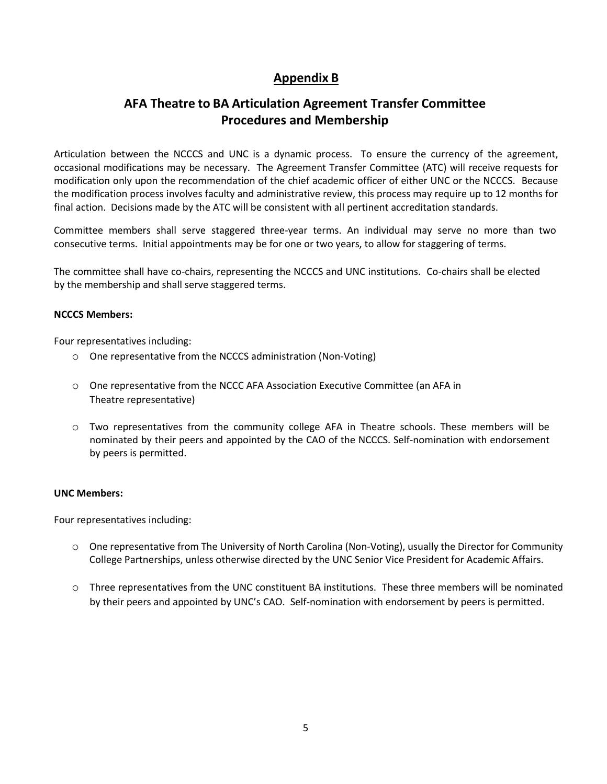# **Appendix B**

# **AFA Theatre to BA Articulation Agreement Transfer Committee Procedures and Membership**

Articulation between the NCCCS and UNC is a dynamic process. To ensure the currency of the agreement, occasional modifications may be necessary. The Agreement Transfer Committee (ATC) will receive requests for modification only upon the recommendation of the chief academic officer of either UNC or the NCCCS. Because the modification process involves faculty and administrative review, this process may require up to 12 months for final action. Decisions made by the ATC will be consistent with all pertinent accreditation standards.

Committee members shall serve staggered three-year terms. An individual may serve no more than two consecutive terms. Initial appointments may be for one or two years, to allow for staggering of terms.

The committee shall have co-chairs, representing the NCCCS and UNC institutions. Co-chairs shall be elected by the membership and shall serve staggered terms.

### **NCCCS Members:**

Four representatives including:

- o One representative from the NCCCS administration (Non-Voting)
- o One representative from the NCCC AFA Association Executive Committee (an AFA in Theatre representative)
- o Two representatives from the community college AFA in Theatre schools. These members will be nominated by their peers and appointed by the CAO of the NCCCS. Self-nomination with endorsement by peers is permitted.

### **UNC Members:**

Four representatives including:

- o One representative from The University of North Carolina (Non-Voting), usually the Director for Community College Partnerships, unless otherwise directed by the UNC Senior Vice President for Academic Affairs.
- o Three representatives from the UNC constituent BA institutions. These three members will be nominated by their peers and appointed by UNC's CAO. Self-nomination with endorsement by peers is permitted.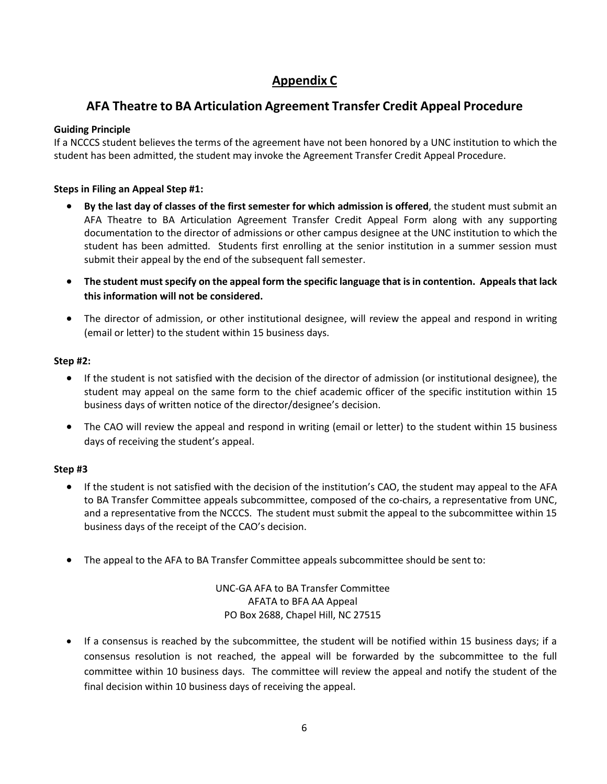# **Appendix C**

# **AFA Theatre to BA Articulation Agreement Transfer Credit Appeal Procedure**

### **Guiding Principle**

If a NCCCS student believes the terms of the agreement have not been honored by a UNC institution to which the student has been admitted, the student may invoke the Agreement Transfer Credit Appeal Procedure.

### **Steps in Filing an Appeal Step #1:**

- **By the last day of classes of the first semester for which admission is offered**, the student must submit an AFA Theatre to BA Articulation Agreement Transfer Credit Appeal Form along with any supporting documentation to the director of admissions or other campus designee at the UNC institution to which the student has been admitted. Students first enrolling at the senior institution in a summer session must submit their appeal by the end of the subsequent fall semester.
- **The student must specify on the appeal form the specific language that is in contention. Appeals that lack this information will not be considered.**
- The director of admission, or other institutional designee, will review the appeal and respond in writing (email or letter) to the student within 15 business days.

### **Step #2:**

- If the student is not satisfied with the decision of the director of admission (or institutional designee), the student may appeal on the same form to the chief academic officer of the specific institution within 15 business days of written notice of the director/designee's decision.
- The CAO will review the appeal and respond in writing (email or letter) to the student within 15 business days of receiving the student's appeal.

### **Step #3**

- If the student is not satisfied with the decision of the institution's CAO, the student may appeal to the AFA to BA Transfer Committee appeals subcommittee, composed of the co-chairs, a representative from UNC, and a representative from the NCCCS. The student must submit the appeal to the subcommittee within 15 business days of the receipt of the CAO's decision.
- The appeal to the AFA to BA Transfer Committee appeals subcommittee should be sent to:

UNC-GA AFA to BA Transfer Committee AFATA to BFA AA Appeal PO Box 2688, Chapel Hill, NC 27515

• If a consensus is reached by the subcommittee, the student will be notified within 15 business days; if a consensus resolution is not reached, the appeal will be forwarded by the subcommittee to the full committee within 10 business days. The committee will review the appeal and notify the student of the final decision within 10 business days of receiving the appeal.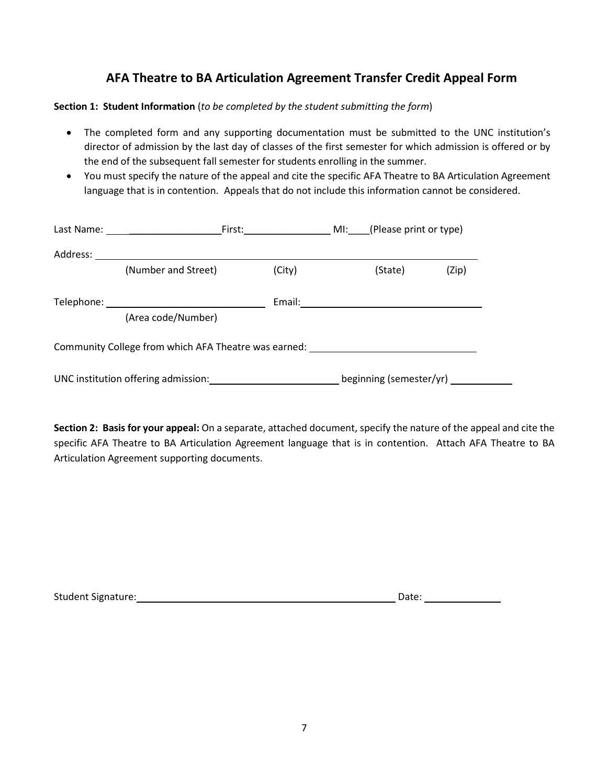## **AFA Theatre to BA Articulation Agreement Transfer Credit Appeal Form**

**Section 1: Student Information** (*to be completed by the student submitting the form*)

- The completed form and any supporting documentation must be submitted to the UNC institution's director of admission by the last day of classes of the first semester for which admission is offered or by the end of the subsequent fall semester for students enrolling in the summer.
- You must specify the nature of the appeal and cite the specific AFA Theatre to BA Articulation Agreement language that is in contention. Appeals that do not include this information cannot be considered.

|          | Last Name: University of the University of the University of the University of the University of the University |        |                         |       |
|----------|-----------------------------------------------------------------------------------------------------------------|--------|-------------------------|-------|
| Address: |                                                                                                                 |        |                         |       |
|          | (Number and Street)                                                                                             | (City) | (State)                 | (Zip) |
|          |                                                                                                                 |        |                         |       |
|          | (Area code/Number)                                                                                              |        |                         |       |
|          | Community College from which AFA Theatre was earned:                                                            |        |                         |       |
|          | UNC institution offering admission: UNC institution offering admission:                                         |        | beginning (semester/yr) |       |

**Section 2: Basis for your appeal:** On a separate, attached document, specify the nature of the appeal and cite the specific AFA Theatre to BA Articulation Agreement language that is in contention. Attach AFA Theatre to BA Articulation Agreement supporting documents.

| Student Signature: | Date: |  |
|--------------------|-------|--|
|                    |       |  |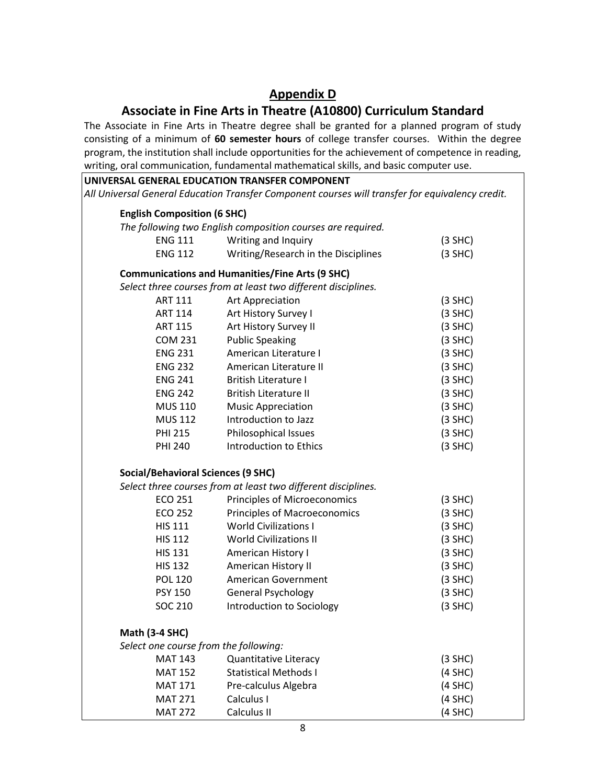# **Appendix D**

## **Associate in Fine Arts in Theatre (A10800) Curriculum Standard**

The Associate in Fine Arts in Theatre degree shall be granted for a planned program of study consisting of a minimum of **60 semester hours** of college transfer courses. Within the degree program, the institution shall include opportunities for the achievement of competence in reading, writing, oral communication, fundamental mathematical skills, and basic computer use.

|                                           | UNIVERSAL GENERAL EDUCATION TRANSFER COMPONENT                                                   |           |
|-------------------------------------------|--------------------------------------------------------------------------------------------------|-----------|
|                                           | All Universal General Education Transfer Component courses will transfer for equivalency credit. |           |
| <b>English Composition (6 SHC)</b>        |                                                                                                  |           |
|                                           | The following two English composition courses are required.                                      |           |
| <b>ENG 111</b>                            | Writing and Inquiry                                                                              | $(3$ SHC) |
| <b>ENG 112</b>                            | Writing/Research in the Disciplines                                                              | $(3$ SHC) |
|                                           | <b>Communications and Humanities/Fine Arts (9 SHC)</b>                                           |           |
|                                           | Select three courses from at least two different disciplines.                                    |           |
| ART 111                                   | Art Appreciation                                                                                 | $(3$ SHC) |
| <b>ART 114</b>                            | Art History Survey I                                                                             | $(3$ SHC) |
| <b>ART 115</b>                            | Art History Survey II                                                                            | $(3$ SHC) |
| <b>COM 231</b>                            | <b>Public Speaking</b>                                                                           | $(3$ SHC) |
| <b>ENG 231</b>                            | American Literature I                                                                            | $(3$ SHC) |
| <b>ENG 232</b>                            | American Literature II                                                                           | $(3$ SHC) |
| <b>ENG 241</b>                            | <b>British Literature I</b>                                                                      | $(3$ SHC) |
| <b>ENG 242</b>                            | <b>British Literature II</b>                                                                     | $(3$ SHC) |
| <b>MUS 110</b>                            | <b>Music Appreciation</b>                                                                        | $(3$ SHC) |
| <b>MUS 112</b>                            | Introduction to Jazz                                                                             | $(3$ SHC) |
| <b>PHI 215</b>                            | Philosophical Issues                                                                             | $(3$ SHC) |
| <b>PHI 240</b>                            | Introduction to Ethics                                                                           | $(3$ SHC) |
| <b>Social/Behavioral Sciences (9 SHC)</b> |                                                                                                  |           |
|                                           | Select three courses from at least two different disciplines.                                    |           |
| ECO 251                                   | <b>Principles of Microeconomics</b>                                                              | $(3$ SHC) |
| <b>ECO 252</b>                            | <b>Principles of Macroeconomics</b>                                                              | $(3$ SHC) |
| <b>HIS 111</b>                            | <b>World Civilizations I</b>                                                                     | $(3$ SHC) |
| <b>HIS 112</b>                            | <b>World Civilizations II</b>                                                                    | $(3$ SHC) |
| <b>HIS 131</b>                            | American History I                                                                               | $(3$ SHC) |
| <b>HIS 132</b>                            | American History II                                                                              | $(3$ SHC) |
| <b>POL 120</b>                            | <b>American Government</b>                                                                       | $(3$ SHC) |
| <b>PSY 150</b>                            | General Psychology                                                                               | $(3$ SHC) |
| SOC 210                                   | Introduction to Sociology                                                                        | $(3$ SHC) |
| <b>Math (3-4 SHC)</b>                     |                                                                                                  |           |
| Select one course from the following:     |                                                                                                  |           |
| <b>MAT 143</b>                            | <b>Quantitative Literacy</b>                                                                     | $(3$ SHC) |
| <b>MAT 152</b>                            | <b>Statistical Methods I</b>                                                                     | $(4$ SHC) |
| <b>MAT 171</b>                            | Pre-calculus Algebra                                                                             | $(4$ SHC) |
| <b>MAT 271</b>                            | Calculus I                                                                                       | $(4$ SHC) |
| <b>MAT 272</b>                            | Calculus II                                                                                      | $(4$ SHC) |